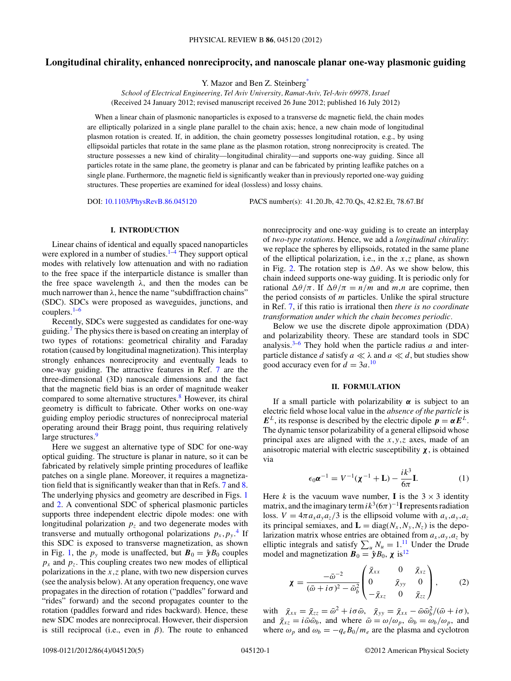# <span id="page-0-0"></span>**Longitudinal chirality, enhanced nonreciprocity, and nanoscale planar one-way plasmonic guiding**

Y. Mazor and Ben Z. Steinber[g\\*](#page-4-0)

*School of Electrical Engineering, Tel Aviv University, Ramat-Aviv, Tel-Aviv 69978, Israel* (Received 24 January 2012; revised manuscript received 26 June 2012; published 16 July 2012)

When a linear chain of plasmonic nanoparticles is exposed to a transverse dc magnetic field, the chain modes are elliptically polarized in a single plane parallel to the chain axis; hence, a new chain mode of longitudinal plasmon rotation is created. If, in addition, the chain geometry possesses longitudinal rotation, e.g., by using ellipsoidal particles that rotate in the same plane as the plasmon rotation, strong nonreciprocity is created. The structure possesses a new kind of chirality—longitudinal chirality—and supports one-way guiding. Since all particles rotate in the same plane, the geometry is planar and can be fabricated by printing leaflike patches on a single plane. Furthermore, the magnetic field is significantly weaker than in previously reported one-way guiding structures. These properties are examined for ideal (lossless) and lossy chains.

DOI: [10.1103/PhysRevB.86.045120](http://dx.doi.org/10.1103/PhysRevB.86.045120) PACS number(s): 41*.*20*.*Jb, 42*.*70*.*Qs, 42*.*82*.*Et, 78*.*67*.*Bf

## **I. INTRODUCTION**

Linear chains of identical and equally spaced nanoparticles were explored in a number of studies. $1-4$  They support optical modes with relatively low attenuation and with no radiation to the free space if the interparticle distance is smaller than the free space wavelength *λ*, and then the modes can be much narrower than  $\lambda$ , hence the name "subdiffraction chains" (SDC). SDCs were proposed as waveguides, junctions, and couplers. $1-6$ 

Recently, SDCs were suggested as candidates for one-way guiding.[7](#page-4-0) The physics there is based on creating an interplay of two types of rotations: geometrical chirality and Faraday rotation (caused by longitudinal magnetization). This interplay strongly enhances nonreciprocity and eventually leads to one-way guiding. The attractive features in Ref. [7](#page-4-0) are the three-dimensional (3D) nanoscale dimensions and the fact that the magnetic field bias is an order of magnitude weaker compared to some alternative structures.<sup>[8](#page-4-0)</sup> However, its chiral geometry is difficult to fabricate. Other works on one-way guiding employ periodic structures of nonreciprocal material operating around their Bragg point, thus requiring relatively large structures.<sup>9</sup>

Here we suggest an alternative type of SDC for one-way optical guiding. The structure is planar in nature, so it can be fabricated by relatively simple printing procedures of leaflike patches on a single plane. Moreover, it requires a magnetization field that is significantly weaker than that in Refs. [7](#page-4-0) and [8.](#page-4-0) The underlying physics and geometry are described in Figs. [1](#page-1-0) and [2.](#page-1-0) A conventional SDC of spherical plasmonic particles supports three independent electric dipole modes: one with longitudinal polarization  $p<sub>z</sub>$  and two degenerate modes with transverse and mutually orthogonal polarizations  $p_x, p_y$ .<sup>[4](#page-4-0)</sup> If this SDC is exposed to transverse magnetization, as shown in Fig. [1,](#page-1-0) the  $p_y$  mode is unaffected, but  $\mathbf{B}_0 = \hat{\mathbf{y}}B_0$  couples  $p_x$  and  $p_z$ . This coupling creates two new modes of elliptical polarizations in the *x,z* plane, with two new dispersion curves (see the analysis below). At any operation frequency, one wave propagates in the direction of rotation ("paddles" forward and "rides" forward) and the second propagates counter to the rotation (paddles forward and rides backward). Hence, these new SDC modes are nonreciprocal. However, their dispersion is still reciprocal (i.e., even in *β*). The route to enhanced nonreciprocity and one-way guiding is to create an interplay of *two-type rotations*. Hence, we add a *longitudinal chirality*: we replace the spheres by ellipsoids, rotated in the same plane of the elliptical polarization, i.e., in the *x,z* plane, as shown in Fig. [2.](#page-1-0) The rotation step is  $\Delta\theta$ . As we show below, this chain indeed supports one-way guiding. It is periodic only for rational  $\Delta\theta/\pi$ . If  $\Delta\theta/\pi = n/m$  and *m,n* are coprime, then the period consists of *m* particles. Unlike the spiral structure in Ref. [7,](#page-4-0) if this ratio is irrational then *there is no coordinate transformation under which the chain becomes periodic.*

Below we use the discrete dipole approximation (DDA) and polarizability theory. These are standard tools in SDC analysis.[3–6](#page-4-0) They hold when the particle radius *a* and interparticle distance *d* satisfy  $a \ll \lambda$  and  $a \ll d$ , but studies show good accuracy even for  $d = 3a$ .<sup>[10](#page-4-0)</sup>

### **II. FORMULATION**

If a small particle with polarizability  $\alpha$  is subject to an electric field whose local value in the *absence of the particle* is *E*<sup>*L*</sup>, its response is described by the electric dipole  $p = \alpha E^{L}$ . The dynamic tensor polarizability of a general ellipsoid whose principal axes are aligned with the *x,y,z* axes, made of an anisotropic material with electric susceptibility  $\chi$ , is obtained via

$$
\epsilon_0 \boldsymbol{\alpha}^{-1} = V^{-1} (\boldsymbol{\chi}^{-1} + \mathbf{L}) - \frac{i k^3}{6\pi} \mathbf{I}.
$$
 (1)

Here *k* is the vacuum wave number, **I** is the  $3 \times 3$  identity matrix, and the imaginary term  $ik^3(6\pi)^{-1}$ **I** represents radiation loss.  $V = 4\pi a_x a_y a_z/3$  is the ellipsoid volume with  $a_x, a_y, a_z$ its principal semiaxes, and  $\mathbf{L} = diag(N_x, N_y, N_z)$  is the depolarization matrix whose entries are obtained from  $a_x$ ,  $a_y$ ,  $a_z$  by elliptic integrals and satisfy  $\sum_{u} N_u = 1 \cdot \frac{11}{10}$  $\sum_{u} N_u = 1 \cdot \frac{11}{10}$  $\sum_{u} N_u = 1 \cdot \frac{11}{10}$  Under the Drude model and magnetization  $\mathbf{B}_0 = \hat{\mathbf{y}} B_0$ ,  $\chi$  is<sup>[12](#page-4-0)</sup>

$$
\boldsymbol{\chi} = \frac{-\bar{\omega}^{-2}}{(\bar{\omega} + i\sigma)^2 - \bar{\omega}_b^2} \begin{pmatrix} \bar{\chi}_{xx} & 0 & \bar{\chi}_{xz} \\ 0 & \bar{\chi}_{yy} & 0 \\ -\bar{\chi}_{xz} & 0 & \bar{\chi}_{zz} \end{pmatrix}, \qquad (2)
$$

with  $\bar{\chi}_{xx} = \bar{\chi}_{zz} = \bar{\omega}^2 + i\sigma\bar{\omega}$ ,  $\bar{\chi}_{yy} = \bar{\chi}_{xx} - \bar{\omega}\bar{\omega}_b^2/(\bar{\omega} + i\sigma)$ , and  $\bar{\chi}_{xz} = i\bar{\omega}\bar{\omega}_b$ , and where  $\bar{\omega} = \omega/\omega_p$ ,  $\bar{\omega}_b = \omega_b/\omega_p$ , and where  $\omega_p$  and  $\omega_b = -q_e B_0/m_e$  are the plasma and cyclotron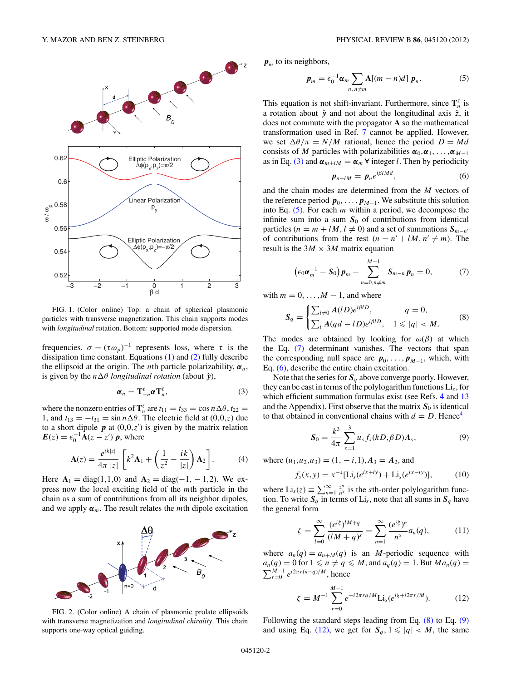<span id="page-1-0"></span>

FIG. 1. (Color online) Top: a chain of spherical plasmonic particles with transverse magnetization. This chain supports modes with *longitudinal* rotation. Bottom: supported mode dispersion.

frequencies.  $\sigma = (\tau \omega_p)^{-1}$  represents loss, where  $\tau$  is the dissipation time constant. Equations  $(1)$  and  $(2)$  fully describe the ellipsoid at the origin. The *n*th particle polarizability,  $\alpha_n$ , is given by the  $n\Delta\theta$  *longitudinal rotation* (about  $\hat{y}$ ),

$$
\boldsymbol{\alpha}_n = \mathbf{T}_{-n}^{\ell} \boldsymbol{\alpha} \mathbf{T}_n^{\ell},\tag{3}
$$

where the nonzero entries of  $\mathbf{T}_n^{\ell}$  are  $t_{11} = t_{33} = \cos n \Delta \theta, t_{22} =$ 1, and  $t_{13} = -t_{31} = \sin n \Delta \theta$ . The electric field at (0,0,z) due to a short dipole  $p$  at  $(0,0,z')$  is given by the matrix relation  $E(z) = \epsilon_0^{-1} \mathbf{A}(z - z') p$ , where

$$
\mathbf{A}(z) = \frac{e^{ik|z|}}{4\pi |z|} \left[ k^2 \mathbf{A}_1 + \left( \frac{1}{z^2} - \frac{ik}{|z|} \right) \mathbf{A}_2 \right]. \tag{4}
$$

Here  $A_1 = diag(1,1,0)$  and  $A_2 = diag(-1,-1,2)$ . We express now the local exciting field of the *m*th particle in the chain as a sum of contributions from all its neighbor dipoles, and we apply  $\alpha_m$ . The result relates the *m*th dipole excitation



FIG. 2. (Color online) A chain of plasmonic prolate ellipsoids with transverse magnetization and *longitudinal chirality*. This chain supports one-way optical guiding.

 $p_m$  to its neighbors,

$$
\boldsymbol{p}_m = \epsilon_0^{-1} \boldsymbol{\alpha}_m \sum_{n, n \neq m} \mathbf{A}[(m-n)d] \; \boldsymbol{p}_n. \tag{5}
$$

This equation is not shift-invariant. Furthermore, since  $\mathbf{T}_n^{\ell}$  is a rotation about  $\hat{y}$  and not about the longitudinal axis  $\hat{z}$ , it does not commute with the propagator **A** so the mathematical transformation used in Ref. [7](#page-4-0) cannot be applied. However, we set  $\Delta\theta/\pi = N/M$  rational, hence the period  $D = Md$ consists of *M* particles with polarizabilities  $\alpha_0, \alpha_1, \ldots, \alpha_{M-1}$ as in Eq. (3) and  $\alpha_{m+lM} = \alpha_m \forall$  integer *l*. Then by periodicity

$$
\boldsymbol{p}_{n+lM} = \boldsymbol{p}_n e^{i\beta lMd},\tag{6}
$$

and the chain modes are determined from the *M* vectors of the reference period  $p_0, \ldots, p_{M-1}$ . We substitute this solution into Eq. (5). For each *m* within a period, we decompose the infinite sum into a sum  $S_0$  of contributions from identical particles ( $n = m + lM$ ,  $l \neq 0$ ) and a set of summations  $S_{m-n'}$ of contributions from the rest  $(n = n' + lM, n' \neq m)$ . The result is the  $3M \times 3M$  matrix equation

$$
\left(\epsilon_0 \pmb{\alpha}_m^{-1} - \pmb{S}_0\right) \pmb{p}_m - \sum_{n=0, n \neq m}^{M-1} \pmb{S}_{m-n} \pmb{p}_n = 0, \tag{7}
$$

with  $m = 0, \ldots, M - 1$ , and where

$$
S_q = \begin{cases} \sum_{l \neq 0} A(lD)e^{i\beta lD}, & q = 0, \\ \sum_l A(qd - lD)e^{i\beta lD}, & 1 \leq |q| < M. \end{cases} \tag{8}
$$

The modes are obtained by looking for  $\omega(\beta)$  at which the Eq. (7) determinant vanishes. The vectors that span the corresponding null space are  $p_0$ , ...,  $p_{M-1}$ , which, with Eq. (6), describe the entire chain excitation.

Note that the series for  $S_q$  above converge poorly. However, they can be cast in terms of the polylogarithm functions Li*s*, for which efficient summation formulas exist (see Refs. [4](#page-4-0) and [13](#page-4-0) and the Appendix). First observe that the matrix  $S_0$  is identical to that obtained in conventional chains with  $d = D$ . Hence<sup>4</sup>

$$
S_0 = \frac{k^3}{4\pi} \sum_{s=1}^3 u_s f_s(kD, \beta D) A_s, \qquad (9)
$$

where  $(u_1, u_2, u_3) = (1, -i, 1), A_3 = A_2$ , and

$$
f_s(x, y) = x^{-s} [\text{Li}_s(e^{ix+iy}) + \text{Li}_s(e^{ix-iy})], \tag{10}
$$

where  $Li_s(z) \equiv \sum_{n=1}^{\infty} \frac{z^n}{n^s}$  is the *s*th-order polylogarithm function. To write  $S_q$  in terms of  $Li_s$ , note that all sums in  $S_q$  have the general form

$$
\zeta = \sum_{l=0}^{\infty} \frac{(e^{i\xi})^{lM+q}}{(lM+q)^s} = \sum_{n=1}^{\infty} \frac{(e^{i\xi})^n}{n^s} a_n(q),\tag{11}
$$

where  $a_n(q) = a_{n+1}(q)$  is an *M*-periodic sequence with  $a_n(q) = 0$  for  $1 \leq n \neq q \leq M$ , and  $a_q(q) = 1$ . But  $Ma_n(q) =$  $\sum_{r=0}^{M-1} e^{i2\pi r(n-q)/M}$ , hence

$$
\zeta = M^{-1} \sum_{r=0}^{M-1} e^{-i2\pi r q/M} \text{Li}_s(e^{i\xi + i2\pi r/M}). \tag{12}
$$

Following the standard steps leading from Eq. (8) to Eq. (9) and using Eq. (12), we get for  $S_q$ ,  $1 \leq |q| < M$ , the same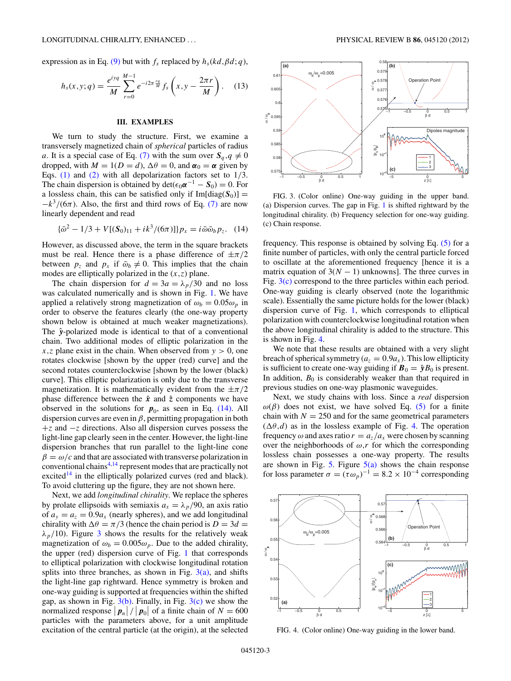<span id="page-2-0"></span>expression as in Eq. [\(9\)](#page-1-0) but with  $f_s$  replaced by  $h_s(kd, \beta d; q)$ ,

$$
h_s(x, y; q) = \frac{e^{iyq}}{M} \sum_{r=0}^{M-1} e^{-i2\pi \frac{rq}{M}} f_s\left(x, y - \frac{2\pi r}{M}\right).
$$
 (13)

#### **III. EXAMPLES**

We turn to study the structure. First, we examine a transversely magnetized chain of *spherical* particles of radius *a*. It is a special case of Eq. [\(7\)](#page-1-0) with the sum over  $S_q$ ,  $q \neq 0$ dropped, with  $M = 1(D = d)$ ,  $\Delta\theta = 0$ , and  $\alpha_0 = \alpha$  given by Eqs. [\(1\)](#page-0-0) and [\(2\)](#page-0-0) with all depolarization factors set to 1*/*3. The chain dispersion is obtained by  $\det(\epsilon_0 \alpha^{-1} - S_0) = 0$ . For a lossless chain, this can be satisfied only if  $Im[diag(S_0)] =$  $-k^3/(6\pi)$ . Also, the first and third rows of Eq. [\(7\)](#page-1-0) are now linearly dependent and read

$$
\{\bar{\omega}^2 - 1/3 + V[(S_0)_{11} + ik^3/(6\pi)]\}p_x = i\bar{\omega}\bar{\omega}_b p_z. \quad (14)
$$

However, as discussed above, the term in the square brackets must be real. Hence there is a phase difference of ±*π/*2 between  $p_z$  and  $p_x$  if  $\bar{\omega}_b \neq 0$ . This implies that the chain modes are elliptically polarized in the (*x,z*) plane.

The chain dispersion for  $d = 3a = \lambda_p/30$  and no loss was calculated numerically and is shown in Fig. [1.](#page-1-0) We have applied a relatively strong magnetization of  $\omega_b = 0.05 \omega_p$  in order to observe the features clearly (the one-way property shown below is obtained at much weaker magnetizations). The  $\hat{y}$ -polarized mode is identical to that of a conventional chain. Two additional modes of elliptic polarization in the *x,z* plane exist in the chain. When observed from *y >* 0, one rotates clockwise [shown by the upper (red) curve] and the second rotates counterclockwise [shown by the lower (black) curve]. This elliptic polarization is only due to the transverse magnetization. It is mathematically evident from the  $\pm \pi/2$ phase difference between the  $\hat{x}$  and  $\hat{z}$  components we have observed in the solutions for  $p_0$ , as seen in Eq. (14). All dispersion curves are even in *β*, permitting propagation in both +*z* and −*z* directions. Also all dispersion curves possess the light-line gap clearly seen in the center. However, the light-line dispersion branches that run parallel to the light-line cone  $\beta = \omega/c$  and that are associated with transverse polarization in conventional chains[4,14](#page-4-0) represent modes that are practically not excited<sup>14</sup> in the elliptically polarized curves (red and black). To avoid cluttering up the figure, they are not shown here.

Next, we add *longitudinal chirality*. We replace the spheres by prolate ellipsoids with semiaxis  $a_x = \lambda_p/90$ , an axis ratio of  $a_y = a_z = 0.9a_x$  (nearly spheres), and we add longitudinal chirality with  $\Delta\theta = \pi/3$  (hence the chain period is  $D = 3d$ )  $\lambda_p/10$ ). Figure 3 shows the results for the relatively weak magnetization of  $\omega_b = 0.005 \omega_p$ . Due to the added chirality, the upper (red) dispersion curve of Fig. [1](#page-1-0) that corresponds to elliptical polarization with clockwise longitudinal rotation splits into three branches, as shown in Fig.  $3(a)$ , and shifts the light-line gap rightward. Hence symmetry is broken and one-way guiding is supported at frequencies within the shifted gap, as shown in Fig.  $3(b)$ . Finally, in Fig.  $3(c)$  we show the normalized response  $\left| p_{n} \right| / \left| p_{0} \right|$  of a finite chain of  $N = 600$ particles with the parameters above, for a unit amplitude excitation of the central particle (at the origin), at the selected



FIG. 3. (Color online) One-way guiding in the upper band. (a) Dispersion curves. The gap in Fig. [1](#page-1-0) is shifted rightward by the longitudinal chirality. (b) Frequency selection for one-way guiding. (c) Chain response.

frequency. This response is obtained by solving Eq. [\(5\)](#page-1-0) for a finite number of particles, with only the central particle forced to oscillate at the aforementioned frequency [hence it is a matrix equation of  $3(N - 1)$  unknowns]. The three curves in Fig. 3(c) correspond to the three particles within each period. One-way guiding is clearly observed (note the logarithmic scale). Essentially the same picture holds for the lower (black) dispersion curve of Fig. [1,](#page-1-0) which corresponds to elliptical polarization with counterclockwise longitudinal rotation when the above longitudinal chirality is added to the structure. This is shown in Fig. 4.

We note that these results are obtained with a very slight breach of spherical symmetry ( $a_z = 0.9a_x$ ). This low ellipticity is sufficient to create one-way guiding if  $\mathbf{B}_0 = \hat{\mathbf{y}}B_0$  is present. In addition,  $B_0$  is considerably weaker than that required in previous studies on one-way plasmonic waveguides.

Next, we study chains with loss. Since a *real* dispersion  $ω(β)$  does not exist, we have solved Eq. [\(5\)](#page-1-0) for a finite chain with  $N = 250$  and for the same geometrical parameters  $(\Delta \theta, d)$  as in the lossless example of Fig. 4. The operation frequency  $\omega$  and axes ratio  $r = a_z/a_x$  were chosen by scanning over the neighborhoods of  $\omega$ , *r* for which the corresponding lossless chain possesses a one-way property. The results are shown in Fig. [5.](#page-3-0) Figure  $5(a)$  shows the chain response for loss parameter  $\sigma = (\tau \omega_p)^{-1} = 8.2 \times 10^{-4}$  corresponding



FIG. 4. (Color online) One-way guiding in the lower band.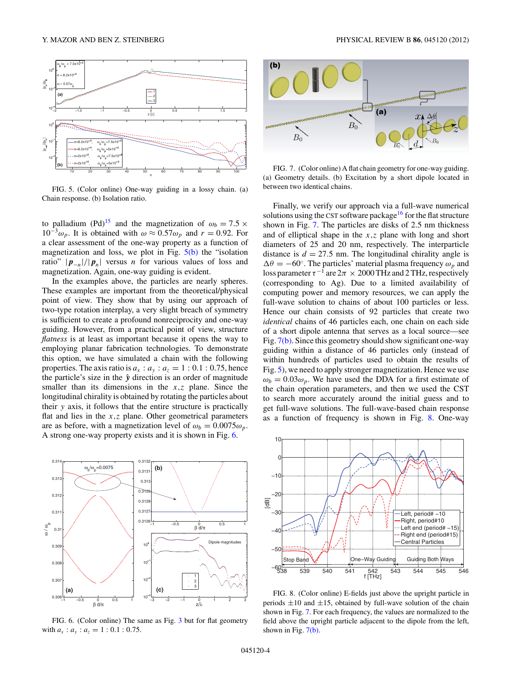<span id="page-3-0"></span>

FIG. 5. (Color online) One-way guiding in a lossy chain. (a) Chain response. (b) Isolation ratio.

to palladium (Pd)<sup>[15](#page-4-0)</sup> and the magnetization of  $\omega_b = 7.5 \times$  $10^{-3}\omega_p$ . It is obtained with  $\omega \approx 0.57\omega_p$  and  $r = 0.92$ . For a clear assessment of the one-way property as a function of magnetization and loss, we plot in Fig.  $5(b)$  the "isolation" ratio"  $|p_{-n}|/|p_n|$  versus *n* for various values of loss and magnetization. Again, one-way guiding is evident.

In the examples above, the particles are nearly spheres. These examples are important from the theoretical/physical point of view. They show that by using our approach of two-type rotation interplay, a very slight breach of symmetry is sufficient to create a profound nonreciprocity and one-way guiding. However, from a practical point of view, structure *flatness* is at least as important because it opens the way to employing planar fabrication technologies. To demonstrate this option, we have simulated a chain with the following properties. The axis ratio is  $a_x : a_y : a_z = 1 : 0.1 : 0.75$ , hence the particle's size in the  $\hat{y}$  direction is an order of magnitude smaller than its dimensions in the *x,z* plane. Since the longitudinal chirality is obtained by rotating the particles about their *y* axis, it follows that the entire structure is practically flat and lies in the *x,z* plane. Other geometrical parameters are as before, with a magnetization level of  $\omega_b = 0.0075 \omega_p$ . A strong one-way property exists and it is shown in Fig. 6.



FIG. 6. (Color online) The same as Fig. [3](#page-2-0) but for flat geometry with  $a_x$ :  $a_y$ :  $a_z$  = 1:0*.*1:0*.*75.



FIG. 7. (Color online) A flat chain geometry for one-way guiding. (a) Geometry details. (b) Excitation by a short dipole located in between two identical chains.

Finally, we verify our approach via a full-wave numerical solutions using the CST software package<sup>16</sup> for the flat structure shown in Fig. 7. The particles are disks of 2*.*5 nm thickness and of elliptical shape in the *x,z* plane with long and short diameters of 25 and 20 nm, respectively. The interparticle distance is  $d = 27.5$  nm. The longitudinal chirality angle is  $\Delta\theta = -60^\circ$ . The particles' material plasma frequency  $\omega_p$  and loss parameter  $\tau^{-1}$  are  $2\pi \times 2000$  THz and 2 THz, respectively (corresponding to Ag). Due to a limited availability of computing power and memory resources, we can apply the full-wave solution to chains of about 100 particles or less. Hence our chain consists of 92 particles that create two *identical* chains of 46 particles each, one chain on each side of a short dipole antenna that serves as a local source—see Fig. 7(b). Since this geometry should show significant one-way guiding within a distance of 46 particles only (instead of within hundreds of particles used to obtain the results of Fig. 5), we need to apply stronger magnetization. Hence we use  $\omega_b = 0.03 \omega_p$ . We have used the DDA for a first estimate of the chain operation parameters, and then we used the CST to search more accurately around the initial guess and to get full-wave solutions. The full-wave-based chain response as a function of frequency is shown in Fig. 8. One-way



FIG. 8. (Color online) E-fields just above the upright particle in periods  $\pm 10$  and  $\pm 15$ , obtained by full-wave solution of the chain shown in Fig. 7. For each frequency, the values are normalized to the field above the upright particle adjacent to the dipole from the left, shown in Fig. 7(b).